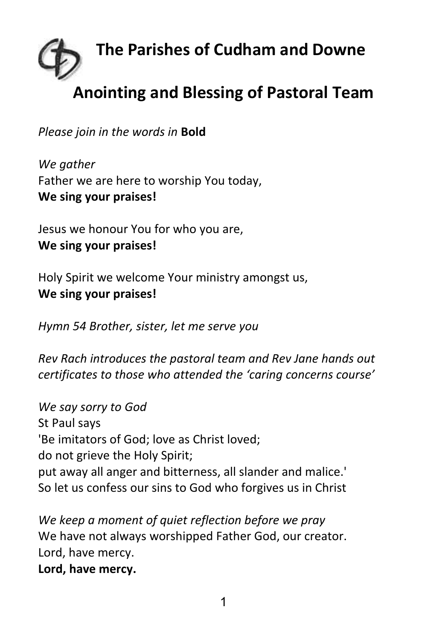

## **Anointing and Blessing of Pastoral Team**

*Please join in the words in* **Bold**

*We gather* Father we are here to worship You today, **We sing your praises!**

Jesus we honour You for who you are, **We sing your praises!**

Holy Spirit we welcome Your ministry amongst us, **We sing your praises!**

*Hymn 54 Brother, sister, let me serve you*

*Rev Rach introduces the pastoral team and Rev Jane hands out certificates to those who attended the 'caring concerns course'*

*We say sorry to God* St Paul says 'Be imitators of God; love as Christ loved; do not grieve the Holy Spirit; put away all anger and bitterness, all slander and malice.' So let us confess our sins to God who forgives us in Christ

*We keep a moment of quiet reflection before we pray* We have not always worshipped Father God, our creator. Lord, have mercy. **Lord, have mercy.**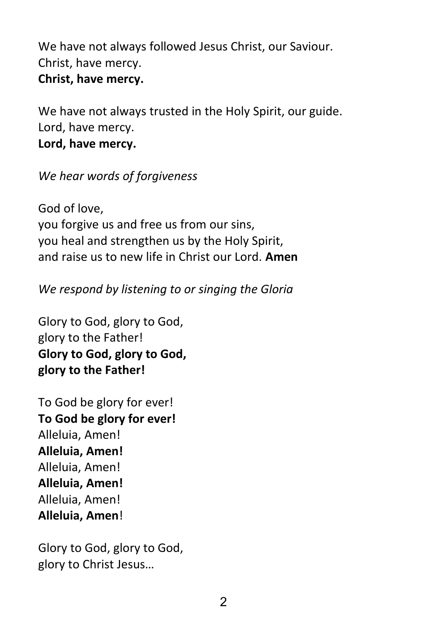We have not always followed Jesus Christ, our Saviour. Christ, have mercy. **Christ, have mercy.**

We have not always trusted in the Holy Spirit, our guide. Lord, have mercy. **Lord, have mercy.**

## *We hear words of forgiveness*

God of love, you forgive us and free us from our sins, you heal and strengthen us by the Holy Spirit, and raise us to new life in Christ our Lord. **Amen**

*We respond by listening to or singing the Gloria* 

Glory to God, glory to God, glory to the Father! **Glory to God, glory to God, glory to the Father!**

To God be glory for ever! **To God be glory for ever!** Alleluia, Amen! **Alleluia, Amen!** Alleluia, Amen! **Alleluia, Amen!** Alleluia, Amen! **Alleluia, Amen**!

Glory to God, glory to God, glory to Christ Jesus…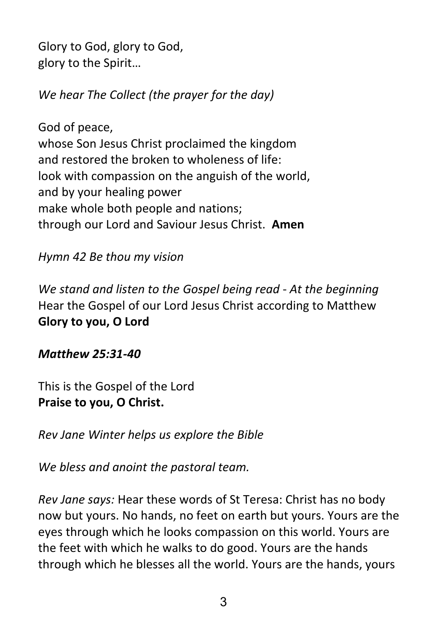Glory to God, glory to God, glory to the Spirit…

*We hear The Collect (the prayer for the day)*

God of peace, whose Son Jesus Christ proclaimed the kingdom and restored the broken to wholeness of life: look with compassion on the anguish of the world, and by your healing power make whole both people and nations; through our Lord and Saviour Jesus Christ. **Amen**

## *Hymn 42 Be thou my vision*

*We stand and listen to the Gospel being read* - *At the beginning* Hear the Gospel of our Lord Jesus Christ according to Matthew **Glory to you, O Lord**

*Matthew 25:31-40*

This is the Gospel of the Lord **Praise to you, O Christ.**

*Rev Jane Winter helps us explore the Bible*

*We bless and anoint the pastoral team.*

*Rev Jane says:* Hear these words of St Teresa: Christ has no body now but yours. No hands, no feet on earth but yours. Yours are the eyes through which he looks compassion on this world. Yours are the feet with which he walks to do good. Yours are the hands through which he blesses all the world. Yours are the hands, yours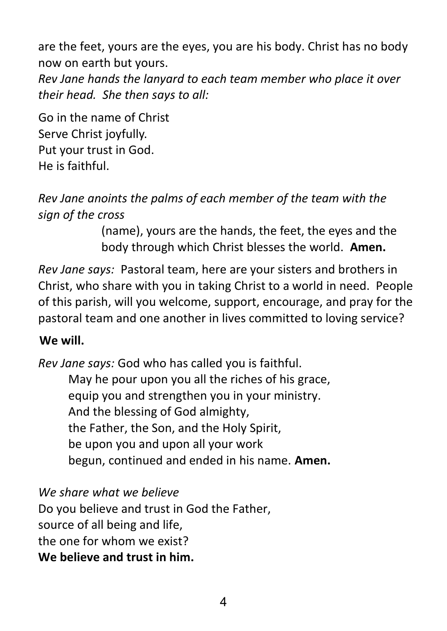are the feet, yours are the eyes, you are his body. Christ has no body now on earth but yours.

*Rev Jane hands the lanyard to each team member who place it over their head. She then says to all:*

Go in the name of Christ Serve Christ joyfully. Put your trust in God. He is faithful.

*Rev Jane anoints the palms of each member of the team with the sign of the cross*

> (name), yours are the hands, the feet, the eyes and the body through which Christ blesses the world. **Amen.**

*Rev Jane says:* Pastoral team, here are your sisters and brothers in Christ, who share with you in taking Christ to a world in need. People of this parish, will you welcome, support, encourage, and pray for the pastoral team and one another in lives committed to loving service?

## **We will.**

*Rev Jane says:* God who has called you is faithful. May he pour upon you all the riches of his grace, equip you and strengthen you in your ministry. And the blessing of God almighty, the Father, the Son, and the Holy Spirit, be upon you and upon all your work begun, continued and ended in his name. **Amen.**

*We share what we believe*

Do you believe and trust in God the Father, source of all being and life, the one for whom we exist? **We believe and trust in him.**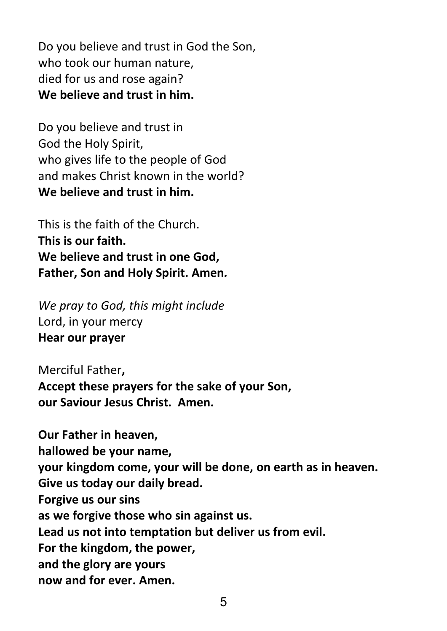Do you believe and trust in God the Son, who took our human nature, died for us and rose again? **We believe and trust in him.**

Do you believe and trust in God the Holy Spirit, who gives life to the people of God and makes Christ known in the world? **We believe and trust in him.**

This is the faith of the Church. **This is our faith. We believe and trust in one God, Father, Son and Holy Spirit. Amen***.*

*We pray to God, this might include* Lord, in your mercy **Hear our prayer**

Merciful Father**, Accept these prayers for the sake of your Son, our Saviour Jesus Christ. Amen.** 

**Our Father in heaven, hallowed be your name, your kingdom come, your will be done, on earth as in heaven. Give us today our daily bread. Forgive us our sins as we forgive those who sin against us. Lead us not into temptation but deliver us from evil. For the kingdom, the power, and the glory are yours now and for ever. Amen.**

5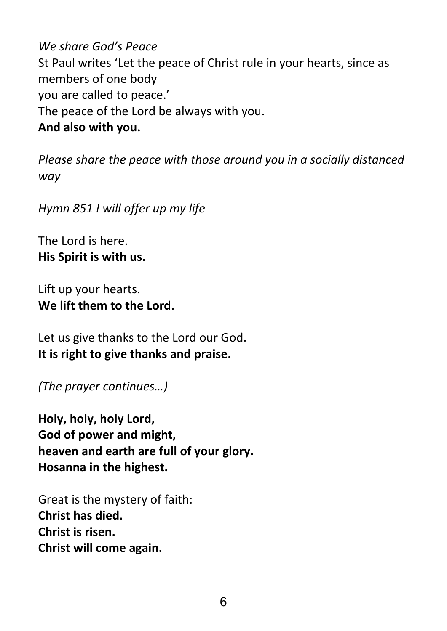*We share God's Peace* St Paul writes 'Let the peace of Christ rule in your hearts, since as members of one body you are called to peace.' The peace of the Lord be always with you. **And also with you.**

*Please share the peace with those around you in a socially distanced way*

*Hymn 851 I will offer up my life*

The Lord is here. **His Spirit is with us.**

Lift up your hearts. **We lift them to the Lord.**

Let us give thanks to the Lord our God. **It is right to give thanks and praise.**

*(The prayer continues…)* 

**Holy, holy, holy Lord, God of power and might, heaven and earth are full of your glory. Hosanna in the highest.**

Great is the mystery of faith: **Christ has died. Christ is risen. Christ will come again.**